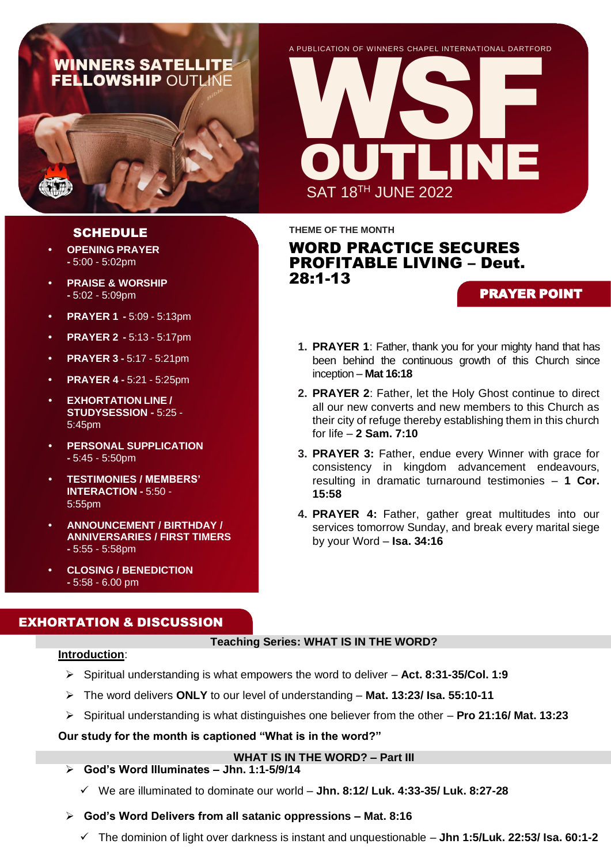# WINNERS SATELLITE **FELLOWSHIP OUTLINE**

A PUBLICATION OF WINNER S CHAPEL INTERNA TIONAL DARTFORD



**THEME OF THE MONTH**

# WORD PRACTICE SECURES PROFITABLE LIVING – Deut. 28:1-13

## PRAYER POINT

- **1. PRAYER 1**: Father, thank you for your mighty hand that has been behind the continuous growth of this Church since inception – **Mat 16:18**
- **2. PRAYER 2**: Father, let the Holy Ghost continue to direct all our new converts and new members to this Church as their city of refuge thereby establishing them in this church for life – **2 Sam. 7:10**
- **3. PRAYER 3:** Father, endue every Winner with grace for consistency in kingdom advancement endeavours, resulting in dramatic turnaround testimonies – **1 Cor. 15:58**
- **4. PRAYER 4:** Father, gather great multitudes into our services tomorrow Sunday, and break every marital siege by your Word – **Isa. 34:16**

## SCHEDULE

- **• OPENING PRAYER -** 5:00 - 5:02pm
- **• PRAISE & WORSHIP -** 5:02 - 5:09pm
- **• PRAYER 1 -** 5:09 5:13pm
- **• PRAYER 2 -** 5:13 5:17pm
- **• PRAYER 3 -** 5:17 5:21pm
- **• PRAYER 4 -** 5:21 5:25pm
- **• EXHORTATION LINE / STUDYSESSION -** 5:25 - 5:45pm
- **• PERSONAL SUPPLICATION -** 5:45 - 5:50pm
- **• TESTIMONIES / MEMBERS' INTERACTION -** 5:50 - 5:55pm
- **• ANNOUNCEMENT / BIRTHDAY / ANNIVERSARIES / FIRST TIMERS -** 5:55 - 5:58pm
- **• CLOSING / BENEDICTION -** 5:58 - 6.00 pm

## EXHORTATION & DISCUSSION

### **Teaching Series: WHAT IS IN THE WORD?**

### **Introduction**:

- ➢ Spiritual understanding is what empowers the word to deliver **Act. 8:31-35/Col. 1:9**
- ➢ The word delivers **ONLY** to our level of understanding **Mat. 13:23/ Isa. 55:10-11**
- ➢ Spiritual understanding is what distinguishes one believer from the other **Pro 21:16/ Mat. 13:23**

### **Our study for the month is captioned "What is in the word?"**

### **WHAT IS IN THE WORD? – Part III**

- ➢ **God's Word Illuminates – Jhn. 1:1-5/9/14**
	- ✓ We are illuminated to dominate our world **Jhn. 8:12/ Luk. 4:33-35/ Luk. 8:27-28**

## ➢ **God's Word Delivers from all satanic oppressions – Mat. 8:16**

✓ The dominion of light over darkness is instant and unquestionable – **Jhn 1:5/Luk. 22:53/ Isa. 60:1-2**